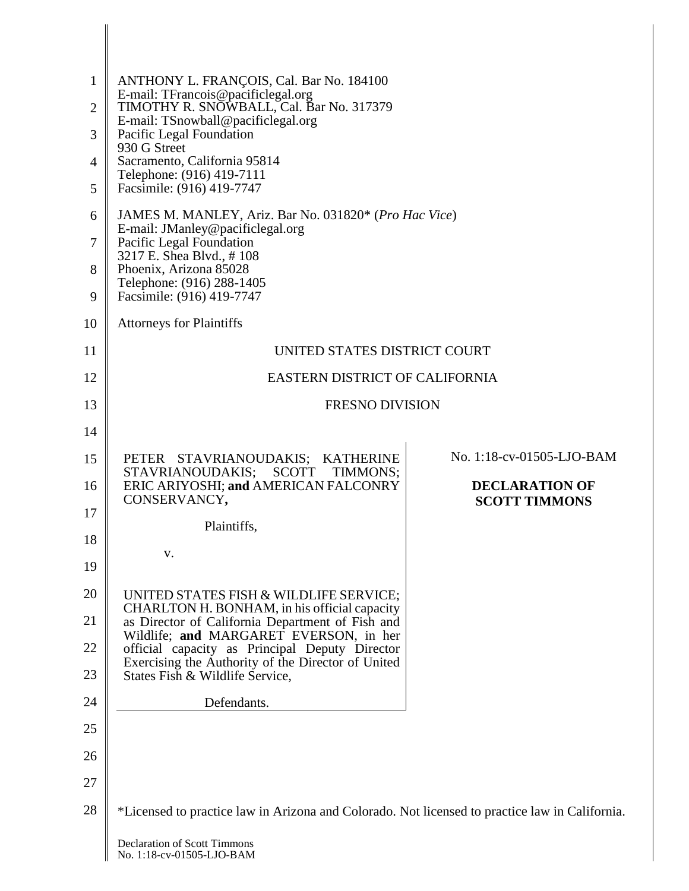| $\mathbf{1}$<br>$\overline{2}$ | ANTHONY L. FRANÇOIS, Cal. Bar No. 184100<br>E-mail: TFrancois@pacificlegal.org<br>TIMOTHY R. SNOWBALL, Cal. Bar No. 317379 |                           |  |
|--------------------------------|----------------------------------------------------------------------------------------------------------------------------|---------------------------|--|
| 3                              | E-mail: TSnowball@pacificlegal.org<br>Pacific Legal Foundation                                                             |                           |  |
| 4                              | 930 G Street<br>Sacramento, California 95814                                                                               |                           |  |
| 5                              | Telephone: (916) 419-7111<br>Facsimile: (916) 419-7747                                                                     |                           |  |
| 6                              | JAMES M. MANLEY, Ariz. Bar No. 031820* (Pro Hac Vice)                                                                      |                           |  |
| 7                              | E-mail: JManley@pacificlegal.org<br>Pacific Legal Foundation                                                               |                           |  |
| 8                              | 3217 E. Shea Blvd., #108<br>Phoenix, Arizona 85028                                                                         |                           |  |
| 9                              | Telephone: (916) 288-1405<br>Facsimile: (916) 419-7747                                                                     |                           |  |
| 10                             | <b>Attorneys for Plaintiffs</b>                                                                                            |                           |  |
| 11                             | UNITED STATES DISTRICT COURT                                                                                               |                           |  |
| 12                             | EASTERN DISTRICT OF CALIFORNIA                                                                                             |                           |  |
| 13                             | <b>FRESNO DIVISION</b>                                                                                                     |                           |  |
| 14                             |                                                                                                                            |                           |  |
| 15                             | PETER STAVRIANOUDAKIS; KATHERINE<br>STAVRIANOUDAKIS; SCOTT<br>TIMMONS;                                                     | No. 1:18-cv-01505-LJO-BAM |  |
| 16                             | ERIC ARIYOSHI; and AMERICAN FALCONRY<br>CONSERVANCY,                                                                       | <b>DECLARATION OF</b>     |  |
| 17                             | Plaintiffs,                                                                                                                | <b>SCOTT TIMMONS</b>      |  |
| 18                             |                                                                                                                            |                           |  |
| 19                             | v.                                                                                                                         |                           |  |
| 20                             | UNITED STATES FISH & WILDLIFE SERVICE;                                                                                     |                           |  |
| 21                             | CHARLTON H. BONHAM, in his official capacity<br>as Director of California Department of Fish and                           |                           |  |
| 22                             | Wildlife; and MARGARET EVERSON, in her<br>official capacity as Principal Deputy Director                                   |                           |  |
| 23                             | Exercising the Authority of the Director of United<br>States Fish & Wildlife Service,                                      |                           |  |
| 24                             | Defendants.                                                                                                                |                           |  |
| 25                             |                                                                                                                            |                           |  |
| 26                             |                                                                                                                            |                           |  |
| 27                             |                                                                                                                            |                           |  |
| 28                             | *Licensed to practice law in Arizona and Colorado. Not licensed to practice law in California.                             |                           |  |
|                                | <b>Declaration of Scott Timmons</b>                                                                                        |                           |  |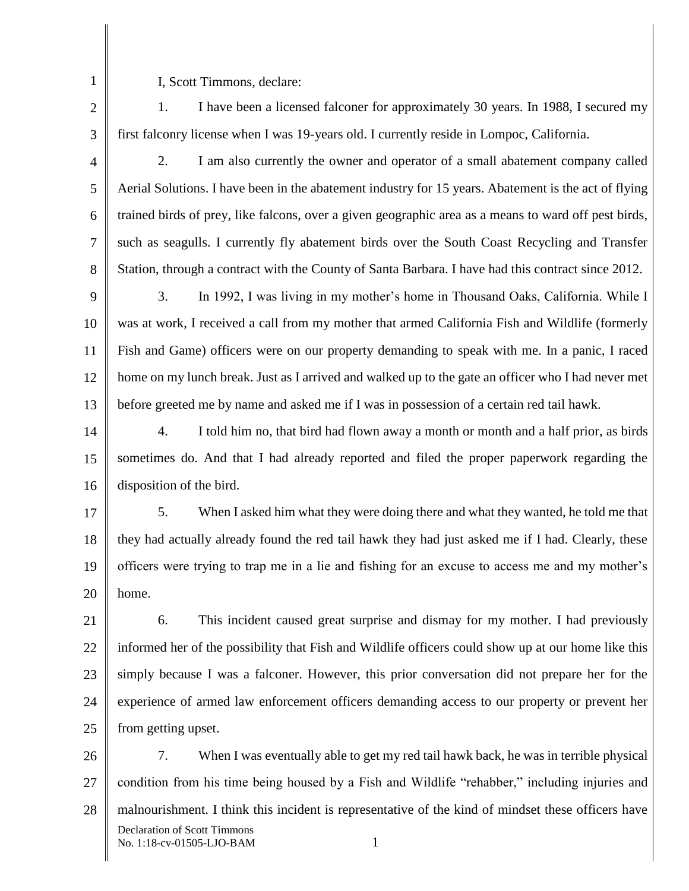1 2 I, Scott Timmons, declare:

1. I have been a licensed falconer for approximately 30 years. In 1988, I secured my first falconry license when I was 19-years old. I currently reside in Lompoc, California.

3 4

5

6

7

8

2. I am also currently the owner and operator of a small abatement company called Aerial Solutions. I have been in the abatement industry for 15 years. Abatement is the act of flying trained birds of prey, like falcons, over a given geographic area as a means to ward off pest birds, such as seagulls. I currently fly abatement birds over the South Coast Recycling and Transfer Station, through a contract with the County of Santa Barbara. I have had this contract since 2012.

9 10 11 12 13 3. In 1992, I was living in my mother's home in Thousand Oaks, California. While I was at work, I received a call from my mother that armed California Fish and Wildlife (formerly Fish and Game) officers were on our property demanding to speak with me. In a panic, I raced home on my lunch break. Just as I arrived and walked up to the gate an officer who I had never met before greeted me by name and asked me if I was in possession of a certain red tail hawk.

14 15 16 4. I told him no, that bird had flown away a month or month and a half prior, as birds sometimes do. And that I had already reported and filed the proper paperwork regarding the disposition of the bird.

17 18 19 20 5. When I asked him what they were doing there and what they wanted, he told me that they had actually already found the red tail hawk they had just asked me if I had. Clearly, these officers were trying to trap me in a lie and fishing for an excuse to access me and my mother's home.

21 22 23 24  $25$ 6. This incident caused great surprise and dismay for my mother. I had previously informed her of the possibility that Fish and Wildlife officers could show up at our home like this simply because I was a falconer. However, this prior conversation did not prepare her for the experience of armed law enforcement officers demanding access to our property or prevent her from getting upset.

26 27 28 Declaration of Scott Timmons No. 1:18-cv-01505-LJO-BAM 1 7. When I was eventually able to get my red tail hawk back, he was in terrible physical condition from his time being housed by a Fish and Wildlife "rehabber," including injuries and malnourishment. I think this incident is representative of the kind of mindset these officers have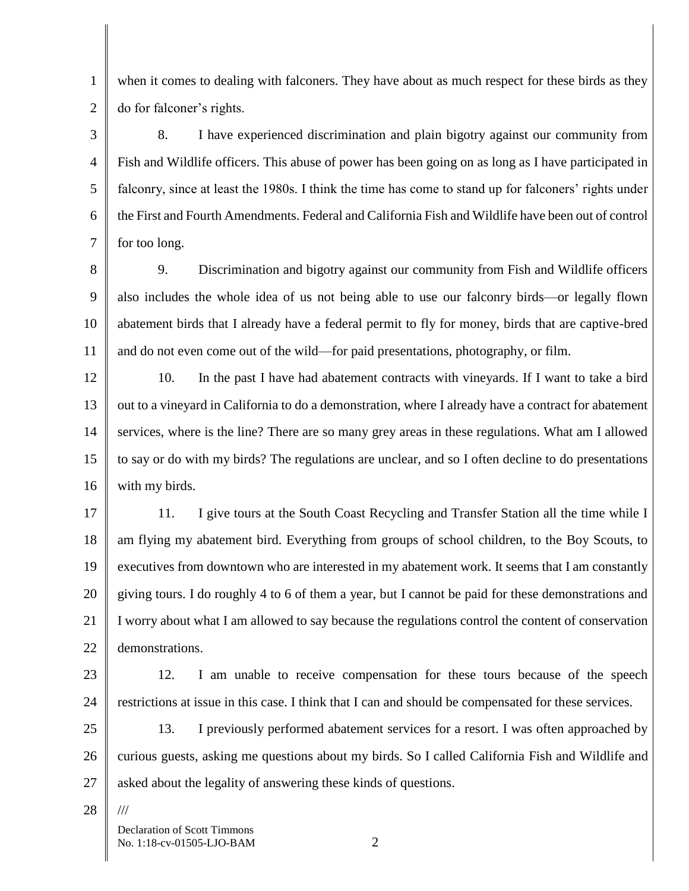1 2 when it comes to dealing with falconers. They have about as much respect for these birds as they do for falconer's rights.

3 4 5 6 7 8. I have experienced discrimination and plain bigotry against our community from Fish and Wildlife officers. This abuse of power has been going on as long as I have participated in falconry, since at least the 1980s. I think the time has come to stand up for falconers' rights under the First and Fourth Amendments. Federal and California Fish and Wildlife have been out of control for too long.

8 9 10 11 9. Discrimination and bigotry against our community from Fish and Wildlife officers also includes the whole idea of us not being able to use our falconry birds—or legally flown abatement birds that I already have a federal permit to fly for money, birds that are captive-bred and do not even come out of the wild—for paid presentations, photography, or film.

12 13 14 15 16 10. In the past I have had abatement contracts with vineyards. If I want to take a bird out to a vineyard in California to do a demonstration, where I already have a contract for abatement services, where is the line? There are so many grey areas in these regulations. What am I allowed to say or do with my birds? The regulations are unclear, and so I often decline to do presentations with my birds.

17 18 19 20 21 22 11. I give tours at the South Coast Recycling and Transfer Station all the time while I am flying my abatement bird. Everything from groups of school children, to the Boy Scouts, to executives from downtown who are interested in my abatement work. It seems that I am constantly giving tours. I do roughly 4 to 6 of them a year, but I cannot be paid for these demonstrations and I worry about what I am allowed to say because the regulations control the content of conservation demonstrations.

23

24 12. I am unable to receive compensation for these tours because of the speech restrictions at issue in this case. I think that I can and should be compensated for these services.

25 26 27 13. I previously performed abatement services for a resort. I was often approached by curious guests, asking me questions about my birds. So I called California Fish and Wildlife and asked about the legality of answering these kinds of questions.

28

///

Declaration of Scott Timmons No. 1:18-cv-01505-LJO-BAM 2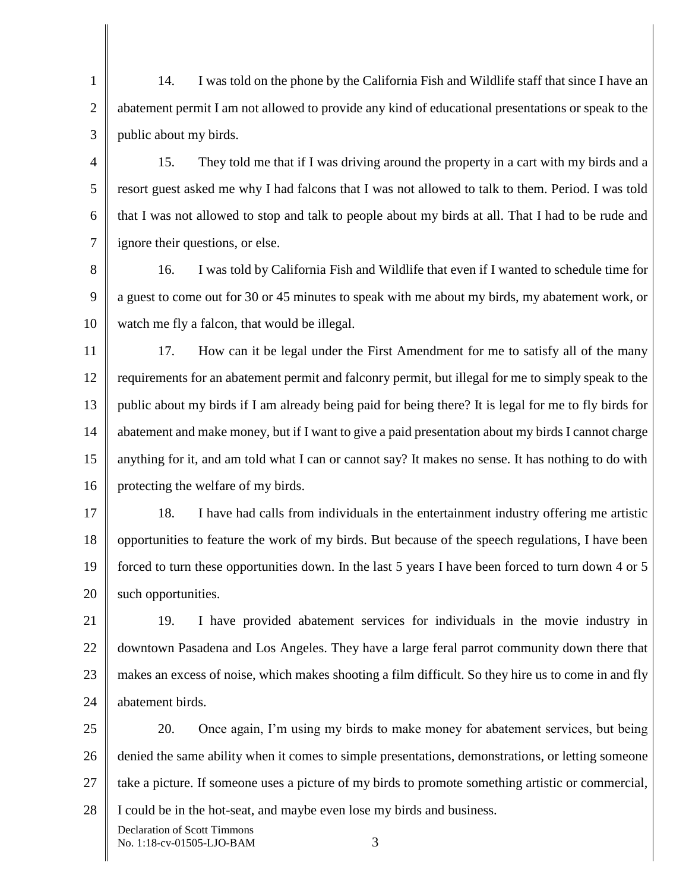1 2 3 14. I was told on the phone by the California Fish and Wildlife staff that since I have an abatement permit I am not allowed to provide any kind of educational presentations or speak to the public about my birds.

4 5 6 7 15. They told me that if I was driving around the property in a cart with my birds and a resort guest asked me why I had falcons that I was not allowed to talk to them. Period. I was told that I was not allowed to stop and talk to people about my birds at all. That I had to be rude and ignore their questions, or else.

8 9 10 16. I was told by California Fish and Wildlife that even if I wanted to schedule time for a guest to come out for 30 or 45 minutes to speak with me about my birds, my abatement work, or watch me fly a falcon, that would be illegal.

11 12 13 14 15 16 17. How can it be legal under the First Amendment for me to satisfy all of the many requirements for an abatement permit and falconry permit, but illegal for me to simply speak to the public about my birds if I am already being paid for being there? It is legal for me to fly birds for abatement and make money, but if I want to give a paid presentation about my birds I cannot charge anything for it, and am told what I can or cannot say? It makes no sense. It has nothing to do with protecting the welfare of my birds.

17 18 19 20 18. I have had calls from individuals in the entertainment industry offering me artistic opportunities to feature the work of my birds. But because of the speech regulations, I have been forced to turn these opportunities down. In the last 5 years I have been forced to turn down 4 or 5 such opportunities.

21 22 23 24 19. I have provided abatement services for individuals in the movie industry in downtown Pasadena and Los Angeles. They have a large feral parrot community down there that makes an excess of noise, which makes shooting a film difficult. So they hire us to come in and fly abatement birds.

25 26 27 28 20. Once again, I'm using my birds to make money for abatement services, but being denied the same ability when it comes to simple presentations, demonstrations, or letting someone take a picture. If someone uses a picture of my birds to promote something artistic or commercial, I could be in the hot-seat, and maybe even lose my birds and business.

Declaration of Scott Timmons No. 1:18-cv-01505-LJO-BAM 3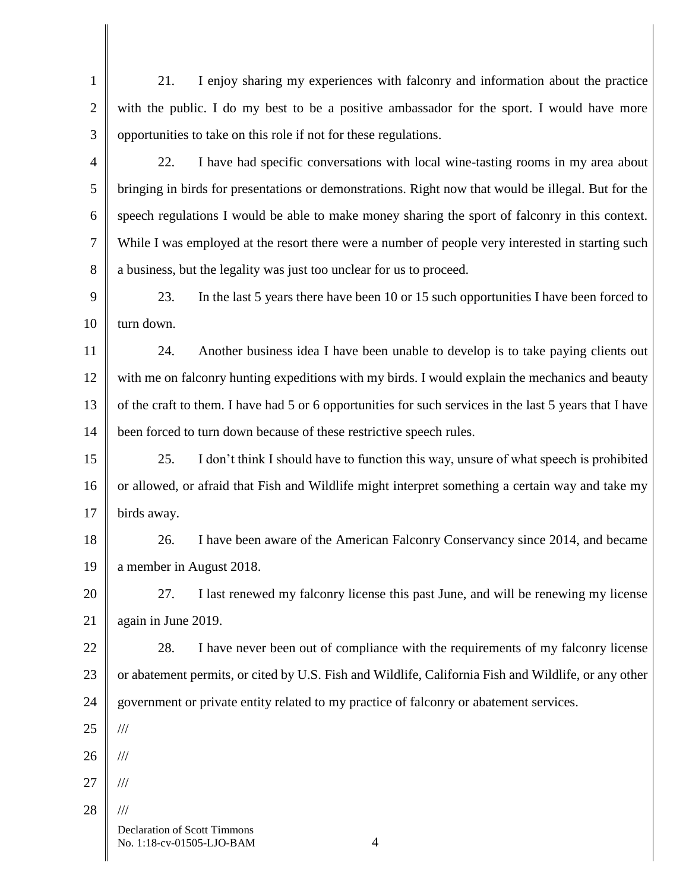1 2 3 4 21. I enjoy sharing my experiences with falconry and information about the practice with the public. I do my best to be a positive ambassador for the sport. I would have more opportunities to take on this role if not for these regulations. 22. I have had specific conversations with local wine-tasting rooms in my area about

5 6 7 8 bringing in birds for presentations or demonstrations. Right now that would be illegal. But for the speech regulations I would be able to make money sharing the sport of falconry in this context. While I was employed at the resort there were a number of people very interested in starting such a business, but the legality was just too unclear for us to proceed.

9 10 23. In the last 5 years there have been 10 or 15 such opportunities I have been forced to turn down.

11 12 13 14 24. Another business idea I have been unable to develop is to take paying clients out with me on falconry hunting expeditions with my birds. I would explain the mechanics and beauty of the craft to them. I have had 5 or 6 opportunities for such services in the last 5 years that I have been forced to turn down because of these restrictive speech rules.

15 16 17 25. I don't think I should have to function this way, unsure of what speech is prohibited or allowed, or afraid that Fish and Wildlife might interpret something a certain way and take my birds away.

18 19 26. I have been aware of the American Falconry Conservancy since 2014, and became a member in August 2018.

20 21 27. I last renewed my falconry license this past June, and will be renewing my license again in June 2019.

22 23 24 28. I have never been out of compliance with the requirements of my falconry license or abatement permits, or cited by U.S. Fish and Wildlife, California Fish and Wildlife, or any other government or private entity related to my practice of falconry or abatement services.

25

///

///

26 ///

27

28 ///

> Declaration of Scott Timmons No. 1:18-cv-01505-LJO-BAM 4